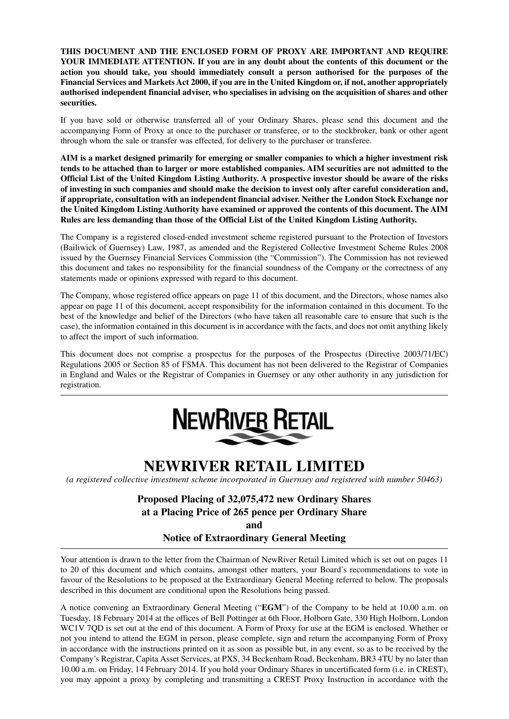**THIS DOCUMENT AND THE ENCLOSED FORM OF PROXY ARE IMPORTANT AND REQUIRE YOUR IMMEDIATE ATTENTION. If you are in any doubt about the contents of this document or the action you should take, you should immediately consult a person authorised for the purposes of the Financial Services and Markets Act 2000, if you are in the United Kingdom or, if not, another appropriately authorised independent financial adviser, who specialises in advising on the acquisition of shares and other securities.**

If you have sold or otherwise transferred all of your Ordinary Shares, please send this document and the accompanying Form of Proxy at once to the purchaser or transferee, or to the stockbroker, bank or other agent through whom the sale or transfer was effected, for delivery to the purchaser or transferee.

**AIM is a market designed primarily for emerging or smaller companies to which a higher investment risk tends to be attached than to larger or more established companies. AIM securities are not admitted to the Official List of the United Kingdom Listing Authority. A prospective investor should be aware of the risks of investing in such companies and should make the decision to invest only after careful consideration and, if appropriate, consultation with an independent financial adviser. Neither the London Stock Exchange nor the United Kingdom Listing Authority have examined or approved the contents of this document. The AIM Rules are less demanding than those of the Official List of the United Kingdom Listing Authority.**

The Company is a registered closed-ended investment scheme registered pursuant to the Protection of Investors (Bailiwick of Guernsey) Law, 1987, as amended and the Registered Collective Investment Scheme Rules 2008 issued by the Guernsey Financial Services Commission (the "Commission"). The Commission has not reviewed this document and takes no responsibility for the financial soundness of the Company or the correctness of any statements made or opinions expressed with regard to this document.

The Company, whose registered office appears on page 11 of this document, and the Directors, whose names also appear on page 11 of this document, accept responsibility for the information contained in this document. To the best of the knowledge and belief of the Directors (who have taken all reasonable care to ensure that such is the case), the information contained in this document is in accordance with the facts, and does not omit anything likely to affect the import of such information.

This document does not comprise a prospectus for the purposes of the Prospectus (Directive 2003/71/EC) Regulations 2005 or Section 85 of FSMA. This document has not been delivered to the Registrar of Companies in England and Wales or the Registrar of Companies in Guernsey or any other authority in any jurisdiction for registration.



# **NEWRIVER RETAIL LIMITED**

*(a registered collective investment scheme incorporated in Guernsey and registered with number 50463)*

# **Proposed Placing of 32,075,472 new Ordinary Shares at a Placing Price of 265 pence per Ordinary Share**

**and** 

**Notice of Extraordinary General Meeting**

Your attention is drawn to the letter from the Chairman of NewRiver Retail Limited which is set out on pages 11 to 20 of this document and which contains, amongst other matters, your Board's recommendations to vote in favour of the Resolutions to be proposed at the Extraordinary General Meeting referred to below. The proposals described in this document are conditional upon the Resolutions being passed.

A notice convening an Extraordinary General Meeting ("**EGM**") of the Company to be held at 10.00 a.m. on Tuesday, 18 February 2014 at the offices of Bell Pottinger at 6th Floor, Holborn Gate, 330 High Holborn, London WC1V 7QD is set out at the end of this document. A Form of Proxy for use at the EGM is enclosed. Whether or not you intend to attend the EGM in person, please complete, sign and return the accompanying Form of Proxy in accordance with the instructions printed on it as soon as possible but, in any event, so as to be received by the Company's Registrar, Capita Asset Services, at PXS, 34 Beckenham Road, Beckenham, BR3 4TU by no later than 10.00 a.m. on Friday, 14 February 2014. If you hold your Ordinary Shares in uncertificated form (i.e. in CREST), you may appoint a proxy by completing and transmitting a CREST Proxy Instruction in accordance with the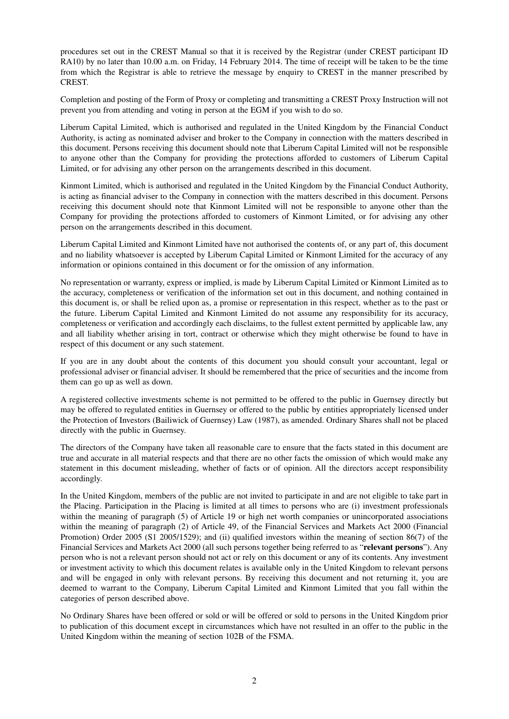procedures set out in the CREST Manual so that it is received by the Registrar (under CREST participant ID RA10) by no later than 10.00 a.m. on Friday, 14 February 2014. The time of receipt will be taken to be the time from which the Registrar is able to retrieve the message by enquiry to CREST in the manner prescribed by CREST.

Completion and posting of the Form of Proxy or completing and transmitting a CREST Proxy Instruction will not prevent you from attending and voting in person at the EGM if you wish to do so.

Liberum Capital Limited, which is authorised and regulated in the United Kingdom by the Financial Conduct Authority, is acting as nominated adviser and broker to the Company in connection with the matters described in this document. Persons receiving this document should note that Liberum Capital Limited will not be responsible to anyone other than the Company for providing the protections afforded to customers of Liberum Capital Limited, or for advising any other person on the arrangements described in this document.

Kinmont Limited, which is authorised and regulated in the United Kingdom by the Financial Conduct Authority, is acting as financial adviser to the Company in connection with the matters described in this document. Persons receiving this document should note that Kinmont Limited will not be responsible to anyone other than the Company for providing the protections afforded to customers of Kinmont Limited, or for advising any other person on the arrangements described in this document.

Liberum Capital Limited and Kinmont Limited have not authorised the contents of, or any part of, this document and no liability whatsoever is accepted by Liberum Capital Limited or Kinmont Limited for the accuracy of any information or opinions contained in this document or for the omission of any information.

No representation or warranty, express or implied, is made by Liberum Capital Limited or Kinmont Limited as to the accuracy, completeness or verification of the information set out in this document, and nothing contained in this document is, or shall be relied upon as, a promise or representation in this respect, whether as to the past or the future. Liberum Capital Limited and Kinmont Limited do not assume any responsibility for its accuracy, completeness or verification and accordingly each disclaims, to the fullest extent permitted by applicable law, any and all liability whether arising in tort, contract or otherwise which they might otherwise be found to have in respect of this document or any such statement.

If you are in any doubt about the contents of this document you should consult your accountant, legal or professional adviser or financial adviser. It should be remembered that the price of securities and the income from them can go up as well as down.

A registered collective investments scheme is not permitted to be offered to the public in Guernsey directly but may be offered to regulated entities in Guernsey or offered to the public by entities appropriately licensed under the Protection of Investors (Bailiwick of Guernsey) Law (1987), as amended. Ordinary Shares shall not be placed directly with the public in Guernsey.

The directors of the Company have taken all reasonable care to ensure that the facts stated in this document are true and accurate in all material respects and that there are no other facts the omission of which would make any statement in this document misleading, whether of facts or of opinion. All the directors accept responsibility accordingly.

In the United Kingdom, members of the public are not invited to participate in and are not eligible to take part in the Placing. Participation in the Placing is limited at all times to persons who are (i) investment professionals within the meaning of paragraph (5) of Article 19 or high net worth companies or unincorporated associations within the meaning of paragraph (2) of Article 49, of the Financial Services and Markets Act 2000 (Financial Promotion) Order 2005 (S1 2005/1529); and (ii) qualified investors within the meaning of section 86(7) of the Financial Services and Markets Act 2000 (all such persons together being referred to as "**relevant persons**"). Any person who is not a relevant person should not act or rely on this document or any of its contents. Any investment or investment activity to which this document relates is available only in the United Kingdom to relevant persons and will be engaged in only with relevant persons. By receiving this document and not returning it, you are deemed to warrant to the Company, Liberum Capital Limited and Kinmont Limited that you fall within the categories of person described above.

No Ordinary Shares have been offered or sold or will be offered or sold to persons in the United Kingdom prior to publication of this document except in circumstances which have not resulted in an offer to the public in the United Kingdom within the meaning of section 102B of the FSMA.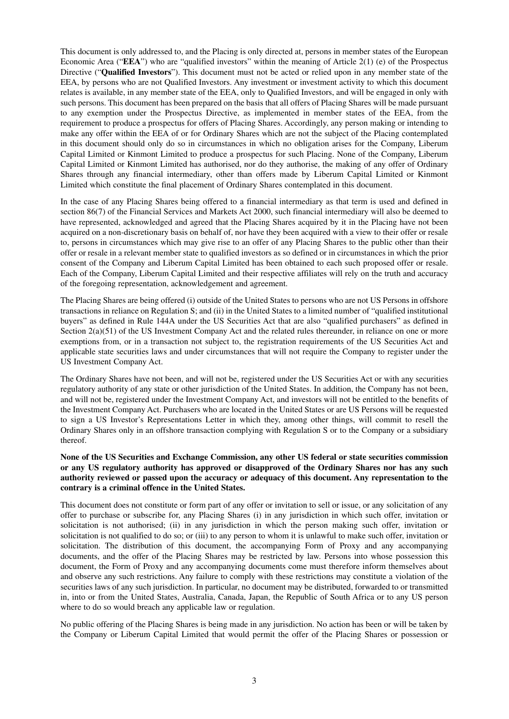This document is only addressed to, and the Placing is only directed at, persons in member states of the European Economic Area ("**EEA**") who are "qualified investors" within the meaning of Article 2(1) (e) of the Prospectus Directive ("**Qualified Investors**"). This document must not be acted or relied upon in any member state of the EEA, by persons who are not Qualified Investors. Any investment or investment activity to which this document relates is available, in any member state of the EEA, only to Qualified Investors, and will be engaged in only with such persons. This document has been prepared on the basis that all offers of Placing Shares will be made pursuant to any exemption under the Prospectus Directive, as implemented in member states of the EEA, from the requirement to produce a prospectus for offers of Placing Shares. Accordingly, any person making or intending to make any offer within the EEA of or for Ordinary Shares which are not the subject of the Placing contemplated in this document should only do so in circumstances in which no obligation arises for the Company, Liberum Capital Limited or Kinmont Limited to produce a prospectus for such Placing. None of the Company, Liberum Capital Limited or Kinmont Limited has authorised, nor do they authorise, the making of any offer of Ordinary Shares through any financial intermediary, other than offers made by Liberum Capital Limited or Kinmont Limited which constitute the final placement of Ordinary Shares contemplated in this document.

In the case of any Placing Shares being offered to a financial intermediary as that term is used and defined in section 86(7) of the Financial Services and Markets Act 2000, such financial intermediary will also be deemed to have represented, acknowledged and agreed that the Placing Shares acquired by it in the Placing have not been acquired on a non-discretionary basis on behalf of, nor have they been acquired with a view to their offer or resale to, persons in circumstances which may give rise to an offer of any Placing Shares to the public other than their offer or resale in a relevant member state to qualified investors as so defined or in circumstances in which the prior consent of the Company and Liberum Capital Limited has been obtained to each such proposed offer or resale. Each of the Company, Liberum Capital Limited and their respective affiliates will rely on the truth and accuracy of the foregoing representation, acknowledgement and agreement.

The Placing Shares are being offered (i) outside of the United States to persons who are not US Persons in offshore transactions in reliance on Regulation S; and (ii) in the United States to a limited number of "qualified institutional buyers" as defined in Rule 144A under the US Securities Act that are also "qualified purchasers" as defined in Section 2(a)(51) of the US Investment Company Act and the related rules thereunder, in reliance on one or more exemptions from, or in a transaction not subject to, the registration requirements of the US Securities Act and applicable state securities laws and under circumstances that will not require the Company to register under the US Investment Company Act.

The Ordinary Shares have not been, and will not be, registered under the US Securities Act or with any securities regulatory authority of any state or other jurisdiction of the United States. In addition, the Company has not been, and will not be, registered under the Investment Company Act, and investors will not be entitled to the benefits of the Investment Company Act. Purchasers who are located in the United States or are US Persons will be requested to sign a US Investor's Representations Letter in which they, among other things, will commit to resell the Ordinary Shares only in an offshore transaction complying with Regulation S or to the Company or a subsidiary thereof.

#### **None of the US Securities and Exchange Commission, any other US federal or state securities commission or any US regulatory authority has approved or disapproved of the Ordinary Shares nor has any such authority reviewed or passed upon the accuracy or adequacy of this document. Any representation to the contrary is a criminal offence in the United States.**

This document does not constitute or form part of any offer or invitation to sell or issue, or any solicitation of any offer to purchase or subscribe for, any Placing Shares (i) in any jurisdiction in which such offer, invitation or solicitation is not authorised; (ii) in any jurisdiction in which the person making such offer, invitation or solicitation is not qualified to do so; or (iii) to any person to whom it is unlawful to make such offer, invitation or solicitation. The distribution of this document, the accompanying Form of Proxy and any accompanying documents, and the offer of the Placing Shares may be restricted by law. Persons into whose possession this document, the Form of Proxy and any accompanying documents come must therefore inform themselves about and observe any such restrictions. Any failure to comply with these restrictions may constitute a violation of the securities laws of any such jurisdiction. In particular, no document may be distributed, forwarded to or transmitted in, into or from the United States, Australia, Canada, Japan, the Republic of South Africa or to any US person where to do so would breach any applicable law or regulation.

No public offering of the Placing Shares is being made in any jurisdiction. No action has been or will be taken by the Company or Liberum Capital Limited that would permit the offer of the Placing Shares or possession or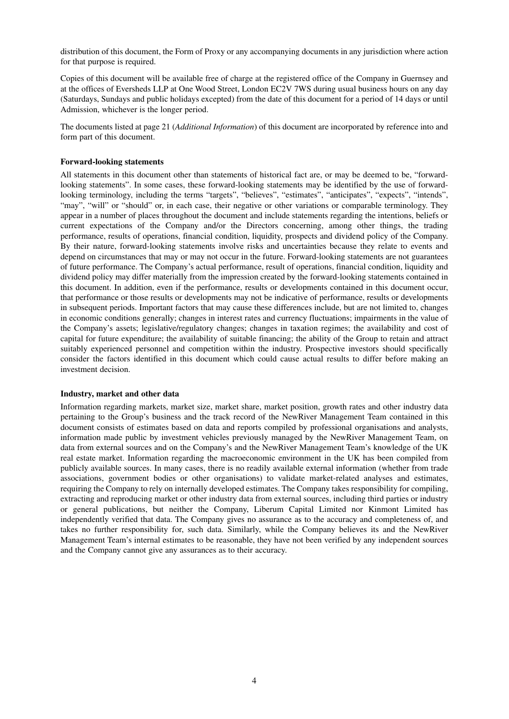distribution of this document, the Form of Proxy or any accompanying documents in any jurisdiction where action for that purpose is required.

Copies of this document will be available free of charge at the registered office of the Company in Guernsey and at the offices of Eversheds LLP at One Wood Street, London EC2V 7WS during usual business hours on any day (Saturdays, Sundays and public holidays excepted) from the date of this document for a period of 14 days or until Admission, whichever is the longer period.

The documents listed at page 21 (*Additional Information*) of this document are incorporated by reference into and form part of this document.

#### **Forward-looking statements**

All statements in this document other than statements of historical fact are, or may be deemed to be, "forwardlooking statements". In some cases, these forward-looking statements may be identified by the use of forwardlooking terminology, including the terms "targets", "believes", "estimates", "anticipates", "expects", "intends", "may", "will" or "should" or, in each case, their negative or other variations or comparable terminology. They appear in a number of places throughout the document and include statements regarding the intentions, beliefs or current expectations of the Company and/or the Directors concerning, among other things, the trading performance, results of operations, financial condition, liquidity, prospects and dividend policy of the Company. By their nature, forward-looking statements involve risks and uncertainties because they relate to events and depend on circumstances that may or may not occur in the future. Forward-looking statements are not guarantees of future performance. The Company's actual performance, result of operations, financial condition, liquidity and dividend policy may differ materially from the impression created by the forward-looking statements contained in this document. In addition, even if the performance, results or developments contained in this document occur, that performance or those results or developments may not be indicative of performance, results or developments in subsequent periods. Important factors that may cause these differences include, but are not limited to, changes in economic conditions generally; changes in interest rates and currency fluctuations; impairments in the value of the Company's assets; legislative/regulatory changes; changes in taxation regimes; the availability and cost of capital for future expenditure; the availability of suitable financing; the ability of the Group to retain and attract suitably experienced personnel and competition within the industry. Prospective investors should specifically consider the factors identified in this document which could cause actual results to differ before making an investment decision.

#### **Industry, market and other data**

Information regarding markets, market size, market share, market position, growth rates and other industry data pertaining to the Group's business and the track record of the NewRiver Management Team contained in this document consists of estimates based on data and reports compiled by professional organisations and analysts, information made public by investment vehicles previously managed by the NewRiver Management Team, on data from external sources and on the Company's and the NewRiver Management Team's knowledge of the UK real estate market. Information regarding the macroeconomic environment in the UK has been compiled from publicly available sources. In many cases, there is no readily available external information (whether from trade associations, government bodies or other organisations) to validate market-related analyses and estimates, requiring the Company to rely on internally developed estimates. The Company takes responsibility for compiling, extracting and reproducing market or other industry data from external sources, including third parties or industry or general publications, but neither the Company, Liberum Capital Limited nor Kinmont Limited has independently verified that data. The Company gives no assurance as to the accuracy and completeness of, and takes no further responsibility for, such data. Similarly, while the Company believes its and the NewRiver Management Team's internal estimates to be reasonable, they have not been verified by any independent sources and the Company cannot give any assurances as to their accuracy.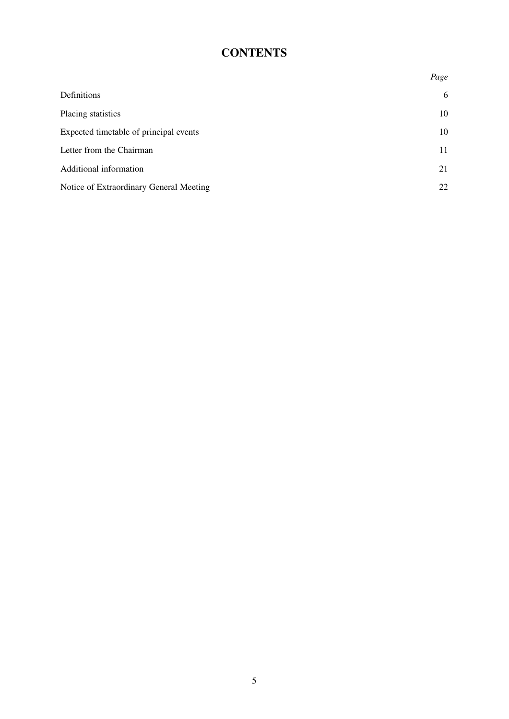# **CONTENTS**

|                                         | Page |
|-----------------------------------------|------|
| Definitions                             | 6    |
| Placing statistics                      | 10   |
| Expected timetable of principal events  | 10   |
| Letter from the Chairman                | 11   |
| Additional information                  | 21   |
| Notice of Extraordinary General Meeting | 22   |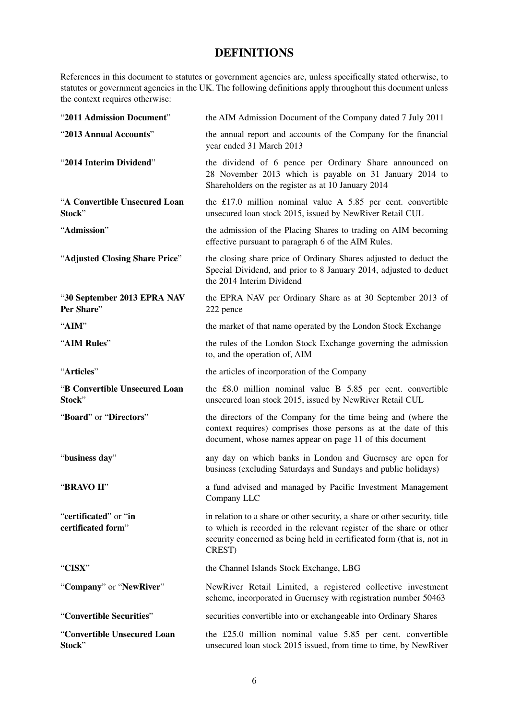## **DEFINITIONS**

References in this document to statutes or government agencies are, unless specifically stated otherwise, to statutes or government agencies in the UK. The following definitions apply throughout this document unless the context requires otherwise:

| "2011 Admission Document"                   | the AIM Admission Document of the Company dated 7 July 2011                                                                                                                                                                           |
|---------------------------------------------|---------------------------------------------------------------------------------------------------------------------------------------------------------------------------------------------------------------------------------------|
| "2013 Annual Accounts"                      | the annual report and accounts of the Company for the financial<br>year ended 31 March 2013                                                                                                                                           |
| "2014 Interim Dividend"                     | the dividend of 6 pence per Ordinary Share announced on<br>28 November 2013 which is payable on 31 January 2014 to<br>Shareholders on the register as at 10 January 2014                                                              |
| "A Convertible Unsecured Loan<br>Stock"     | the £17.0 million nominal value A $5.85$ per cent. convertible<br>unsecured loan stock 2015, issued by NewRiver Retail CUL                                                                                                            |
| "Admission"                                 | the admission of the Placing Shares to trading on AIM becoming<br>effective pursuant to paragraph 6 of the AIM Rules.                                                                                                                 |
| "Adjusted Closing Share Price"              | the closing share price of Ordinary Shares adjusted to deduct the<br>Special Dividend, and prior to 8 January 2014, adjusted to deduct<br>the 2014 Interim Dividend                                                                   |
| "30 September 2013 EPRA NAV<br>Per Share"   | the EPRA NAV per Ordinary Share as at 30 September 2013 of<br>222 pence                                                                                                                                                               |
| "AIM"                                       | the market of that name operated by the London Stock Exchange                                                                                                                                                                         |
| "AIM Rules"                                 | the rules of the London Stock Exchange governing the admission<br>to, and the operation of, AIM                                                                                                                                       |
| "Articles"                                  | the articles of incorporation of the Company                                                                                                                                                                                          |
| "B Convertible Unsecured Loan<br>Stock"     | the £8.0 million nominal value B 5.85 per cent. convertible<br>unsecured loan stock 2015, issued by NewRiver Retail CUL                                                                                                               |
| "Board" or "Directors"                      | the directors of the Company for the time being and (where the<br>context requires) comprises those persons as at the date of this<br>document, whose names appear on page 11 of this document                                        |
| "business day"                              | any day on which banks in London and Guernsey are open for<br>business (excluding Saturdays and Sundays and public holidays)                                                                                                          |
| "BRAVO II"                                  | a fund advised and managed by Pacific Investment Management<br>Company LLC                                                                                                                                                            |
| "certificated" or "in<br>certificated form" | in relation to a share or other security, a share or other security, title<br>to which is recorded in the relevant register of the share or other<br>security concerned as being held in certificated form (that is, not in<br>CREST) |
| "CISX"                                      | the Channel Islands Stock Exchange, LBG                                                                                                                                                                                               |
| "Company" or "NewRiver"                     | NewRiver Retail Limited, a registered collective investment<br>scheme, incorporated in Guernsey with registration number 50463                                                                                                        |
| "Convertible Securities"                    | securities convertible into or exchangeable into Ordinary Shares                                                                                                                                                                      |
| "Convertible Unsecured Loan<br>Stock"       | the £25.0 million nominal value 5.85 per cent. convertible<br>unsecured loan stock 2015 issued, from time to time, by NewRiver                                                                                                        |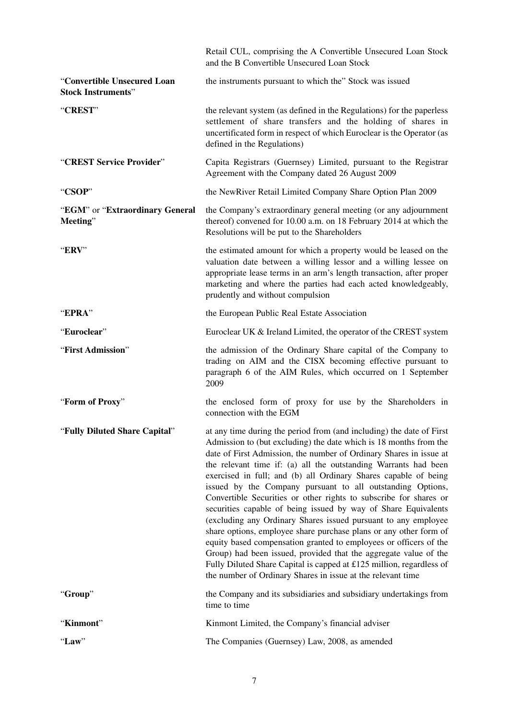|                                                          | Retail CUL, comprising the A Convertible Unsecured Loan Stock<br>and the B Convertible Unsecured Loan Stock                                                                                                                                                                                                                                                                                                                                                                                                                                                                                                                                                                                                                                                                                                                                                                                                                                                                       |
|----------------------------------------------------------|-----------------------------------------------------------------------------------------------------------------------------------------------------------------------------------------------------------------------------------------------------------------------------------------------------------------------------------------------------------------------------------------------------------------------------------------------------------------------------------------------------------------------------------------------------------------------------------------------------------------------------------------------------------------------------------------------------------------------------------------------------------------------------------------------------------------------------------------------------------------------------------------------------------------------------------------------------------------------------------|
| "Convertible Unsecured Loan<br><b>Stock Instruments"</b> | the instruments pursuant to which the" Stock was issued                                                                                                                                                                                                                                                                                                                                                                                                                                                                                                                                                                                                                                                                                                                                                                                                                                                                                                                           |
| "CREST"                                                  | the relevant system (as defined in the Regulations) for the paperless<br>settlement of share transfers and the holding of shares in<br>uncertificated form in respect of which Euroclear is the Operator (as<br>defined in the Regulations)                                                                                                                                                                                                                                                                                                                                                                                                                                                                                                                                                                                                                                                                                                                                       |
| "CREST Service Provider"                                 | Capita Registrars (Guernsey) Limited, pursuant to the Registrar<br>Agreement with the Company dated 26 August 2009                                                                                                                                                                                                                                                                                                                                                                                                                                                                                                                                                                                                                                                                                                                                                                                                                                                                |
| "CSOP"                                                   | the NewRiver Retail Limited Company Share Option Plan 2009                                                                                                                                                                                                                                                                                                                                                                                                                                                                                                                                                                                                                                                                                                                                                                                                                                                                                                                        |
| "EGM" or "Extraordinary General<br>Meeting"              | the Company's extraordinary general meeting (or any adjournment<br>thereof) convened for 10.00 a.m. on 18 February 2014 at which the<br>Resolutions will be put to the Shareholders                                                                                                                                                                                                                                                                                                                                                                                                                                                                                                                                                                                                                                                                                                                                                                                               |
| "ERV"                                                    | the estimated amount for which a property would be leased on the<br>valuation date between a willing lessor and a willing lessee on<br>appropriate lease terms in an arm's length transaction, after proper<br>marketing and where the parties had each acted knowledgeably,<br>prudently and without compulsion                                                                                                                                                                                                                                                                                                                                                                                                                                                                                                                                                                                                                                                                  |
| "EPRA"                                                   | the European Public Real Estate Association                                                                                                                                                                                                                                                                                                                                                                                                                                                                                                                                                                                                                                                                                                                                                                                                                                                                                                                                       |
| "Euroclear"                                              | Euroclear UK & Ireland Limited, the operator of the CREST system                                                                                                                                                                                                                                                                                                                                                                                                                                                                                                                                                                                                                                                                                                                                                                                                                                                                                                                  |
| "First Admission"                                        | the admission of the Ordinary Share capital of the Company to<br>trading on AIM and the CISX becoming effective pursuant to<br>paragraph 6 of the AIM Rules, which occurred on 1 September<br>2009                                                                                                                                                                                                                                                                                                                                                                                                                                                                                                                                                                                                                                                                                                                                                                                |
| "Form of Proxy"                                          | the enclosed form of proxy for use by the Shareholders in<br>connection with the EGM                                                                                                                                                                                                                                                                                                                                                                                                                                                                                                                                                                                                                                                                                                                                                                                                                                                                                              |
| "Fully Diluted Share Capital"                            | at any time during the period from (and including) the date of First<br>Admission to (but excluding) the date which is 18 months from the<br>date of First Admission, the number of Ordinary Shares in issue at<br>the relevant time if: (a) all the outstanding Warrants had been<br>exercised in full; and (b) all Ordinary Shares capable of being<br>issued by the Company pursuant to all outstanding Options,<br>Convertible Securities or other rights to subscribe for shares or<br>securities capable of being issued by way of Share Equivalents<br>(excluding any Ordinary Shares issued pursuant to any employee<br>share options, employee share purchase plans or any other form of<br>equity based compensation granted to employees or officers of the<br>Group) had been issued, provided that the aggregate value of the<br>Fully Diluted Share Capital is capped at £125 million, regardless of<br>the number of Ordinary Shares in issue at the relevant time |
| "Group"                                                  | the Company and its subsidiaries and subsidiary undertakings from<br>time to time                                                                                                                                                                                                                                                                                                                                                                                                                                                                                                                                                                                                                                                                                                                                                                                                                                                                                                 |
| "Kinmont"                                                | Kinmont Limited, the Company's financial adviser                                                                                                                                                                                                                                                                                                                                                                                                                                                                                                                                                                                                                                                                                                                                                                                                                                                                                                                                  |
| "Law"                                                    | The Companies (Guernsey) Law, 2008, as amended                                                                                                                                                                                                                                                                                                                                                                                                                                                                                                                                                                                                                                                                                                                                                                                                                                                                                                                                    |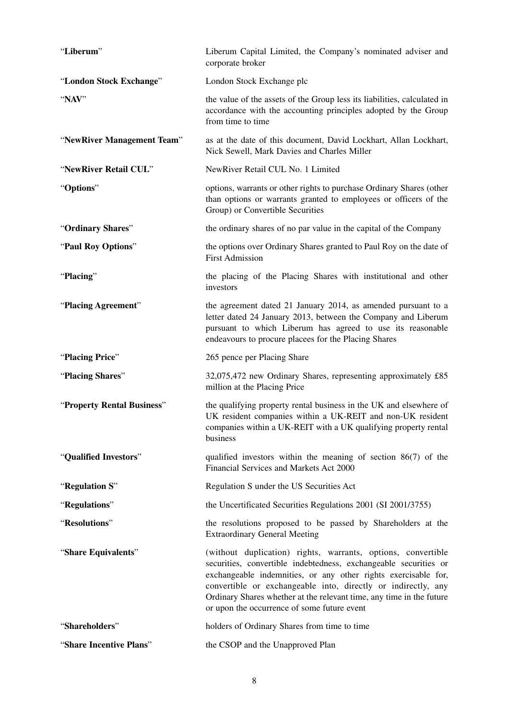| "Liberum"                  | Liberum Capital Limited, the Company's nominated adviser and<br>corporate broker                                                                                                                                                                                                                                                                                                           |
|----------------------------|--------------------------------------------------------------------------------------------------------------------------------------------------------------------------------------------------------------------------------------------------------------------------------------------------------------------------------------------------------------------------------------------|
| "London Stock Exchange"    | London Stock Exchange plc                                                                                                                                                                                                                                                                                                                                                                  |
| "NAV"                      | the value of the assets of the Group less its liabilities, calculated in<br>accordance with the accounting principles adopted by the Group<br>from time to time                                                                                                                                                                                                                            |
| "NewRiver Management Team" | as at the date of this document, David Lockhart, Allan Lockhart,<br>Nick Sewell, Mark Davies and Charles Miller                                                                                                                                                                                                                                                                            |
| "NewRiver Retail CUL"      | NewRiver Retail CUL No. 1 Limited                                                                                                                                                                                                                                                                                                                                                          |
| "Options"                  | options, warrants or other rights to purchase Ordinary Shares (other<br>than options or warrants granted to employees or officers of the<br>Group) or Convertible Securities                                                                                                                                                                                                               |
| "Ordinary Shares"          | the ordinary shares of no par value in the capital of the Company                                                                                                                                                                                                                                                                                                                          |
| "Paul Roy Options"         | the options over Ordinary Shares granted to Paul Roy on the date of<br><b>First Admission</b>                                                                                                                                                                                                                                                                                              |
| "Placing"                  | the placing of the Placing Shares with institutional and other<br>investors                                                                                                                                                                                                                                                                                                                |
| "Placing Agreement"        | the agreement dated 21 January 2014, as amended pursuant to a<br>letter dated 24 January 2013, between the Company and Liberum<br>pursuant to which Liberum has agreed to use its reasonable<br>endeavours to procure placees for the Placing Shares                                                                                                                                       |
| "Placing Price"            | 265 pence per Placing Share                                                                                                                                                                                                                                                                                                                                                                |
|                            |                                                                                                                                                                                                                                                                                                                                                                                            |
| "Placing Shares"           | 32,075,472 new Ordinary Shares, representing approximately £85<br>million at the Placing Price                                                                                                                                                                                                                                                                                             |
| "Property Rental Business" | the qualifying property rental business in the UK and elsewhere of<br>UK resident companies within a UK-REIT and non-UK resident<br>companies within a UK-REIT with a UK qualifying property rental<br>business                                                                                                                                                                            |
| "Qualified Investors"      | qualified investors within the meaning of section $86(7)$ of the<br>Financial Services and Markets Act 2000                                                                                                                                                                                                                                                                                |
| "Regulation S"             | Regulation S under the US Securities Act                                                                                                                                                                                                                                                                                                                                                   |
| "Regulations"              | the Uncertificated Securities Regulations 2001 (SI 2001/3755)                                                                                                                                                                                                                                                                                                                              |
| "Resolutions"              | the resolutions proposed to be passed by Shareholders at the<br><b>Extraordinary General Meeting</b>                                                                                                                                                                                                                                                                                       |
| "Share Equivalents"        | (without duplication) rights, warrants, options, convertible<br>securities, convertible indebtedness, exchangeable securities or<br>exchangeable indemnities, or any other rights exercisable for,<br>convertible or exchangeable into, directly or indirectly, any<br>Ordinary Shares whether at the relevant time, any time in the future<br>or upon the occurrence of some future event |
| "Shareholders"             | holders of Ordinary Shares from time to time                                                                                                                                                                                                                                                                                                                                               |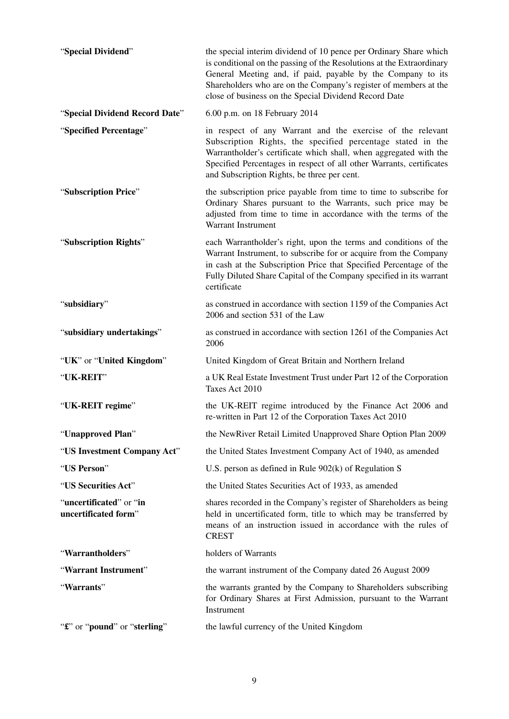| "Special Dividend"                              | the special interim dividend of 10 pence per Ordinary Share which<br>is conditional on the passing of the Resolutions at the Extraordinary<br>General Meeting and, if paid, payable by the Company to its<br>Shareholders who are on the Company's register of members at the<br>close of business on the Special Dividend Record Date |
|-------------------------------------------------|----------------------------------------------------------------------------------------------------------------------------------------------------------------------------------------------------------------------------------------------------------------------------------------------------------------------------------------|
| "Special Dividend Record Date"                  | 6.00 p.m. on 18 February 2014                                                                                                                                                                                                                                                                                                          |
| "Specified Percentage"                          | in respect of any Warrant and the exercise of the relevant<br>Subscription Rights, the specified percentage stated in the<br>Warrantholder's certificate which shall, when aggregated with the<br>Specified Percentages in respect of all other Warrants, certificates<br>and Subscription Rights, be three per cent.                  |
| "Subscription Price"                            | the subscription price payable from time to time to subscribe for<br>Ordinary Shares pursuant to the Warrants, such price may be<br>adjusted from time to time in accordance with the terms of the<br>Warrant Instrument                                                                                                               |
| "Subscription Rights"                           | each Warrantholder's right, upon the terms and conditions of the<br>Warrant Instrument, to subscribe for or acquire from the Company<br>in cash at the Subscription Price that Specified Percentage of the<br>Fully Diluted Share Capital of the Company specified in its warrant<br>certificate                                       |
| "subsidiary"                                    | as construed in accordance with section 1159 of the Companies Act<br>2006 and section 531 of the Law                                                                                                                                                                                                                                   |
| "subsidiary undertakings"                       | as construed in accordance with section 1261 of the Companies Act<br>2006                                                                                                                                                                                                                                                              |
| "UK" or "United Kingdom"                        | United Kingdom of Great Britain and Northern Ireland                                                                                                                                                                                                                                                                                   |
| "UK-REIT"                                       | a UK Real Estate Investment Trust under Part 12 of the Corporation<br>Taxes Act 2010                                                                                                                                                                                                                                                   |
| "UK-REIT regime"                                | the UK-REIT regime introduced by the Finance Act 2006 and<br>re-written in Part 12 of the Corporation Taxes Act 2010                                                                                                                                                                                                                   |
| "Unapproved Plan"                               | the NewRiver Retail Limited Unapproved Share Option Plan 2009                                                                                                                                                                                                                                                                          |
| "US Investment Company Act"                     | the United States Investment Company Act of 1940, as amended                                                                                                                                                                                                                                                                           |
| "US Person"                                     | U.S. person as defined in Rule $902(k)$ of Regulation S                                                                                                                                                                                                                                                                                |
| "US Securities Act"                             | the United States Securities Act of 1933, as amended                                                                                                                                                                                                                                                                                   |
| "uncertificated" or "in<br>uncertificated form" | shares recorded in the Company's register of Shareholders as being<br>held in uncertificated form, title to which may be transferred by<br>means of an instruction issued in accordance with the rules of<br><b>CREST</b>                                                                                                              |
| "Warrantholders"                                | holders of Warrants                                                                                                                                                                                                                                                                                                                    |
| "Warrant Instrument"                            | the warrant instrument of the Company dated 26 August 2009                                                                                                                                                                                                                                                                             |
| "Warrants"                                      | the warrants granted by the Company to Shareholders subscribing<br>for Ordinary Shares at First Admission, pursuant to the Warrant<br>Instrument                                                                                                                                                                                       |
| "£" or "pound" or "sterling"                    | the lawful currency of the United Kingdom                                                                                                                                                                                                                                                                                              |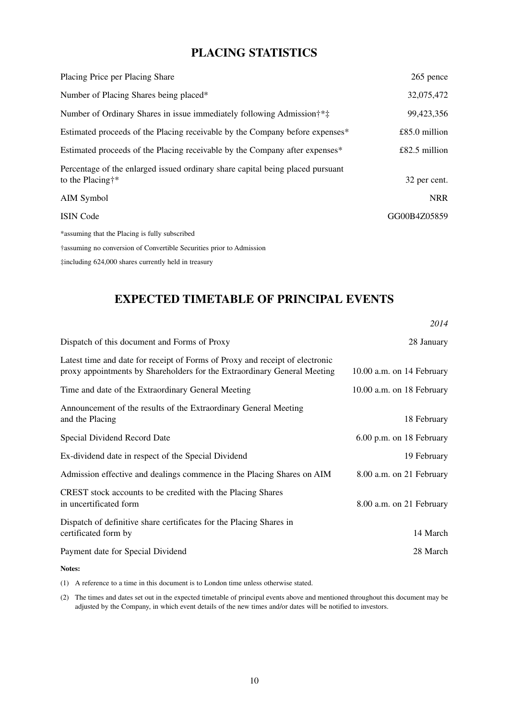## **PLACING STATISTICS**

| Placing Price per Placing Share                                                                    | 265 pence     |
|----------------------------------------------------------------------------------------------------|---------------|
| Number of Placing Shares being placed*                                                             | 32,075,472    |
| Number of Ordinary Shares in issue immediately following Admission <sup>†*</sup> <sup>‡</sup>      | 99,423,356    |
| Estimated proceeds of the Placing receivable by the Company before expenses*                       | £85.0 million |
| Estimated proceeds of the Placing receivable by the Company after expenses*                        | £82.5 million |
| Percentage of the enlarged issued ordinary share capital being placed pursuant<br>to the Placing†* | 32 per cent.  |
| AIM Symbol                                                                                         | <b>NRR</b>    |
| <b>ISIN Code</b>                                                                                   | GG00B4Z05859  |
| *assuming that the Placing is fully subscribed                                                     |               |
| †assuming no conversion of Convertible Securities prior to Admission                               |               |

‡including 624,000 shares currently held in treasury

## **EXPECTED TIMETABLE OF PRINCIPAL EVENTS**

|                                                                                                                                                          | 2014                      |
|----------------------------------------------------------------------------------------------------------------------------------------------------------|---------------------------|
| Dispatch of this document and Forms of Proxy                                                                                                             | 28 January                |
| Latest time and date for receipt of Forms of Proxy and receipt of electronic<br>proxy appointments by Shareholders for the Extraordinary General Meeting | 10.00 a.m. on 14 February |
| Time and date of the Extraordinary General Meeting                                                                                                       | 10.00 a.m. on 18 February |
| Announcement of the results of the Extraordinary General Meeting<br>and the Placing                                                                      | 18 February               |
| Special Dividend Record Date                                                                                                                             | 6.00 p.m. on 18 February  |
| Ex-dividend date in respect of the Special Dividend                                                                                                      | 19 February               |
| Admission effective and dealings commence in the Placing Shares on AIM                                                                                   | 8.00 a.m. on 21 February  |
| CREST stock accounts to be credited with the Placing Shares<br>in uncertificated form                                                                    | 8.00 a.m. on 21 February  |
| Dispatch of definitive share certificates for the Placing Shares in<br>certificated form by                                                              | 14 March                  |
| Payment date for Special Dividend                                                                                                                        | 28 March                  |

**Notes:**

(1) A reference to a time in this document is to London time unless otherwise stated.

(2) The times and dates set out in the expected timetable of principal events above and mentioned throughout this document may be adjusted by the Company, in which event details of the new times and/or dates will be notified to investors.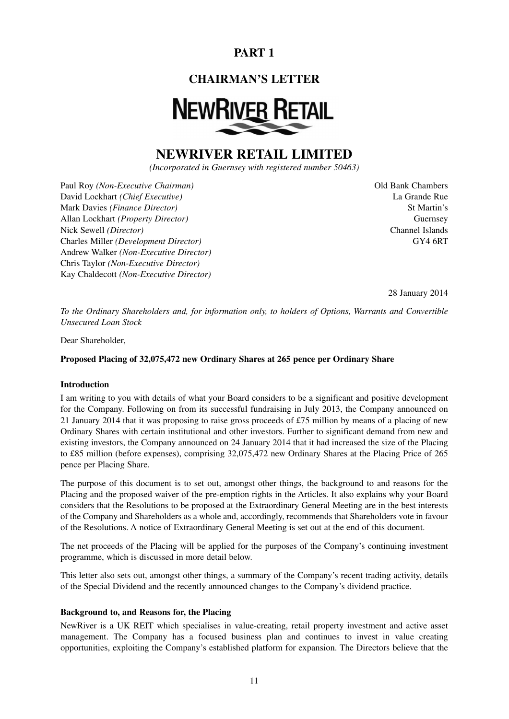# **PART 1**

## **CHAIRMAN'S LETTER**

# **NEWRIVER RETAIL**

# **NEWRIVER RETAIL LIMITED**

*(Incorporated in Guernsey with registered number 50463)*

Paul Roy *(Non-Executive Chairman)* Old Bank Chambers David Lockhart *(Chief Executive)* La Grande Rue Mark Davies *(Finance Director)* St Martin's Allan Lockhart *(Property Director)* Guernsey Nick Sewell *(Director)* Channel Islands Charles Miller *(Development Director)* GY4 6RT Andrew Walker *(Non-Executive Director)* Chris Taylor *(Non-Executive Director)* Kay Chaldecott *(Non-Executive Director)*

28 January 2014

*To the Ordinary Shareholders and, for information only, to holders of Options, Warrants and Convertible Unsecured Loan Stock*

Dear Shareholder,

**Proposed Placing of 32,075,472 new Ordinary Shares at 265 pence per Ordinary Share**

#### **Introduction**

I am writing to you with details of what your Board considers to be a significant and positive development for the Company. Following on from its successful fundraising in July 2013, the Company announced on 21 January 2014 that it was proposing to raise gross proceeds of £75 million by means of a placing of new Ordinary Shares with certain institutional and other investors. Further to significant demand from new and existing investors, the Company announced on 24 January 2014 that it had increased the size of the Placing to £85 million (before expenses), comprising 32,075,472 new Ordinary Shares at the Placing Price of 265 pence per Placing Share.

The purpose of this document is to set out, amongst other things, the background to and reasons for the Placing and the proposed waiver of the pre-emption rights in the Articles. It also explains why your Board considers that the Resolutions to be proposed at the Extraordinary General Meeting are in the best interests of the Company and Shareholders as a whole and, accordingly, recommends that Shareholders vote in favour of the Resolutions. A notice of Extraordinary General Meeting is set out at the end of this document.

The net proceeds of the Placing will be applied for the purposes of the Company's continuing investment programme, which is discussed in more detail below.

This letter also sets out, amongst other things, a summary of the Company's recent trading activity, details of the Special Dividend and the recently announced changes to the Company's dividend practice.

#### **Background to, and Reasons for, the Placing**

NewRiver is a UK REIT which specialises in value-creating, retail property investment and active asset management. The Company has a focused business plan and continues to invest in value creating opportunities, exploiting the Company's established platform for expansion. The Directors believe that the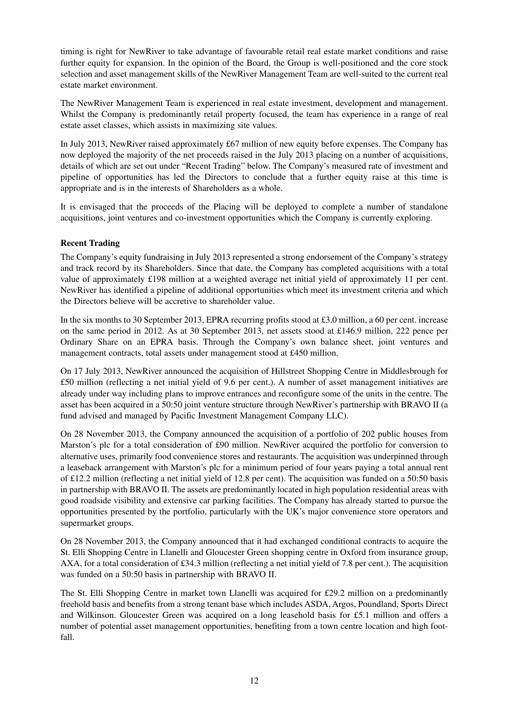timing is right for NewRiver to take advantage of favourable retail real estate market conditions and raise further equity for expansion. In the opinion of the Board, the Group is well-positioned and the core stock selection and asset management skills of the NewRiver Management Team are well-suited to the current real estate market environment.

The NewRiver Management Team is experienced in real estate investment, development and management. Whilst the Company is predominantly retail property focused, the team has experience in a range of real estate asset classes, which assists in maximizing site values.

In July 2013, NewRiver raised approximately £67 million of new equity before expenses. The Company has now deployed the majority of the net proceeds raised in the July 2013 placing on a number of acquisitions, details of which are set out under "Recent Trading" below. The Company's measured rate of investment and pipeline of opportunities has led the Directors to conclude that a further equity raise at this time is appropriate and is in the interests of Shareholders as a whole.

It is envisaged that the proceeds of the Placing will be deployed to complete a number of standalone acquisitions, joint ventures and co-investment opportunities which the Company is currently exploring.

#### **Recent Trading**

The Company's equity fundraising in July 2013 represented a strong endorsement of the Company's strategy and track record by its Shareholders. Since that date, the Company has completed acquisitions with a total value of approximately £198 million at a weighted average net initial yield of approximately 11 per cent. NewRiver has identified a pipeline of additional opportunities which meet its investment criteria and which the Directors believe will be accretive to shareholder value.

In the six months to 30 September 2013, EPRA recurring profits stood at £3.0 million, a 60 per cent. increase on the same period in 2012. As at 30 September 2013, net assets stood at £146.9 million, 222 pence per Ordinary Share on an EPRA basis. Through the Company's own balance sheet, joint ventures and management contracts, total assets under management stood at £450 million.

On 17 July 2013, NewRiver announced the acquisition of Hillstreet Shopping Centre in Middlesbrough for £50 million (reflecting a net initial yield of 9.6 per cent.). A number of asset management initiatives are already under way including plans to improve entrances and reconfigure some of the units in the centre. The asset has been acquired in a 50:50 joint venture structure through NewRiver's partnership with BRAVO II (a fund advised and managed by Pacific Investment Management Company LLC).

On 28 November 2013, the Company announced the acquisition of a portfolio of 202 public houses from Marston's plc for a total consideration of £90 million. NewRiver acquired the portfolio for conversion to alternative uses, primarily food convenience stores and restaurants. The acquisition was underpinned through a leaseback arrangement with Marston's plc for a minimum period of four years paying a total annual rent of £12.2 million (reflecting a net initial yield of 12.8 per cent). The acquisition was funded on a 50:50 basis in partnership with BRAVO II. The assets are predominantly located in high population residential areas with good roadside visibility and extensive car parking facilities. The Company has already started to pursue the opportunities presented by the portfolio, particularly with the UK's major convenience store operators and supermarket groups.

On 28 November 2013, the Company announced that it had exchanged conditional contracts to acquire the St. Elli Shopping Centre in Llanelli and Gloucester Green shopping centre in Oxford from insurance group, AXA, for a total consideration of £34.3 million (reflecting a net initial yield of 7.8 per cent.). The acquisition was funded on a 50:50 basis in partnership with BRAVO II.

The St. Elli Shopping Centre in market town Llanelli was acquired for £29.2 million on a predominantly freehold basis and benefits from a strong tenant base which includes ASDA, Argos, Poundland, Sports Direct and Wilkinson. Gloucester Green was acquired on a long leasehold basis for £5.1 million and offers a number of potential asset management opportunities, benefiting from a town centre location and high footfall.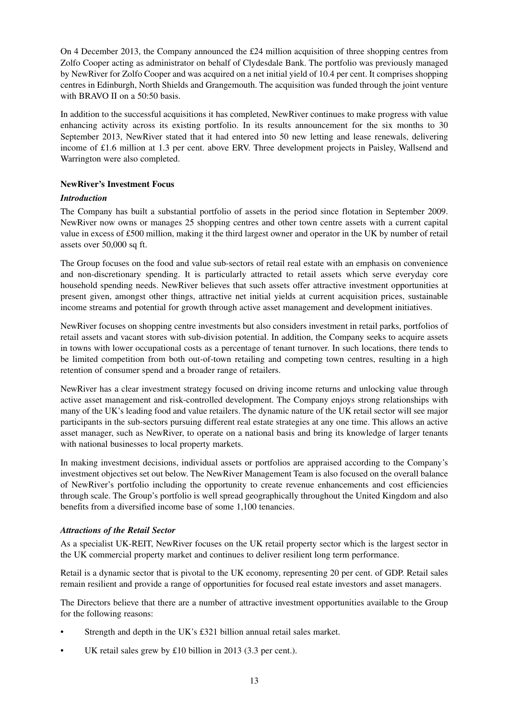On 4 December 2013, the Company announced the £24 million acquisition of three shopping centres from Zolfo Cooper acting as administrator on behalf of Clydesdale Bank. The portfolio was previously managed by NewRiver for Zolfo Cooper and was acquired on a net initial yield of 10.4 per cent. It comprises shopping centres in Edinburgh, North Shields and Grangemouth. The acquisition was funded through the joint venture with BRAVO II on a 50:50 basis.

In addition to the successful acquisitions it has completed, NewRiver continues to make progress with value enhancing activity across its existing portfolio. In its results announcement for the six months to 30 September 2013, NewRiver stated that it had entered into 50 new letting and lease renewals, delivering income of £1.6 million at 1.3 per cent. above ERV. Three development projects in Paisley, Wallsend and Warrington were also completed.

#### **NewRiver's Investment Focus**

#### *Introduction*

The Company has built a substantial portfolio of assets in the period since flotation in September 2009. NewRiver now owns or manages 25 shopping centres and other town centre assets with a current capital value in excess of £500 million, making it the third largest owner and operator in the UK by number of retail assets over 50,000 sq ft.

The Group focuses on the food and value sub-sectors of retail real estate with an emphasis on convenience and non-discretionary spending. It is particularly attracted to retail assets which serve everyday core household spending needs. NewRiver believes that such assets offer attractive investment opportunities at present given, amongst other things, attractive net initial yields at current acquisition prices, sustainable income streams and potential for growth through active asset management and development initiatives.

NewRiver focuses on shopping centre investments but also considers investment in retail parks, portfolios of retail assets and vacant stores with sub-division potential. In addition, the Company seeks to acquire assets in towns with lower occupational costs as a percentage of tenant turnover. In such locations, there tends to be limited competition from both out-of-town retailing and competing town centres, resulting in a high retention of consumer spend and a broader range of retailers.

NewRiver has a clear investment strategy focused on driving income returns and unlocking value through active asset management and risk-controlled development. The Company enjoys strong relationships with many of the UK's leading food and value retailers. The dynamic nature of the UK retail sector will see major participants in the sub-sectors pursuing different real estate strategies at any one time. This allows an active asset manager, such as NewRiver, to operate on a national basis and bring its knowledge of larger tenants with national businesses to local property markets.

In making investment decisions, individual assets or portfolios are appraised according to the Company's investment objectives set out below. The NewRiver Management Team is also focused on the overall balance of NewRiver's portfolio including the opportunity to create revenue enhancements and cost efficiencies through scale. The Group's portfolio is well spread geographically throughout the United Kingdom and also benefits from a diversified income base of some 1,100 tenancies.

#### *Attractions of the Retail Sector*

As a specialist UK-REIT, NewRiver focuses on the UK retail property sector which is the largest sector in the UK commercial property market and continues to deliver resilient long term performance.

Retail is a dynamic sector that is pivotal to the UK economy, representing 20 per cent. of GDP. Retail sales remain resilient and provide a range of opportunities for focused real estate investors and asset managers.

The Directors believe that there are a number of attractive investment opportunities available to the Group for the following reasons:

- Strength and depth in the UK's £321 billion annual retail sales market.
- UK retail sales grew by £10 billion in 2013 (3.3 per cent.).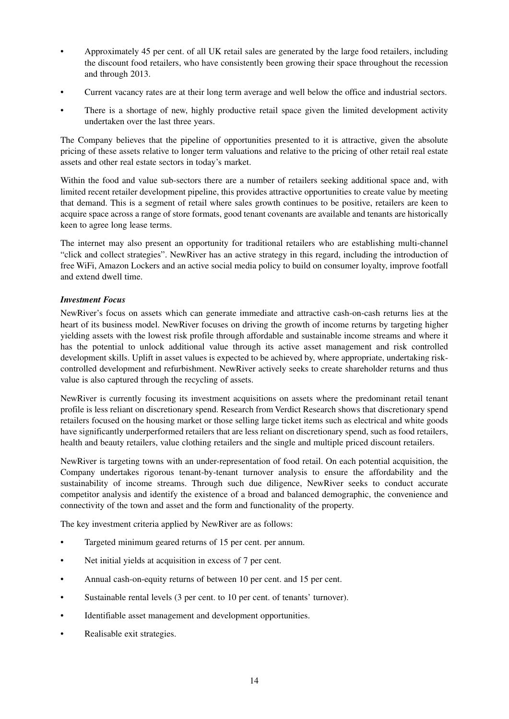- Approximately 45 per cent. of all UK retail sales are generated by the large food retailers, including the discount food retailers, who have consistently been growing their space throughout the recession and through 2013.
- Current vacancy rates are at their long term average and well below the office and industrial sectors.
- There is a shortage of new, highly productive retail space given the limited development activity undertaken over the last three years.

The Company believes that the pipeline of opportunities presented to it is attractive, given the absolute pricing of these assets relative to longer term valuations and relative to the pricing of other retail real estate assets and other real estate sectors in today's market.

Within the food and value sub-sectors there are a number of retailers seeking additional space and, with limited recent retailer development pipeline, this provides attractive opportunities to create value by meeting that demand. This is a segment of retail where sales growth continues to be positive, retailers are keen to acquire space across a range of store formats, good tenant covenants are available and tenants are historically keen to agree long lease terms.

The internet may also present an opportunity for traditional retailers who are establishing multi-channel "click and collect strategies". NewRiver has an active strategy in this regard, including the introduction of free WiFi, Amazon Lockers and an active social media policy to build on consumer loyalty, improve footfall and extend dwell time.

#### *Investment Focus*

NewRiver's focus on assets which can generate immediate and attractive cash-on-cash returns lies at the heart of its business model. NewRiver focuses on driving the growth of income returns by targeting higher yielding assets with the lowest risk profile through affordable and sustainable income streams and where it has the potential to unlock additional value through its active asset management and risk controlled development skills. Uplift in asset values is expected to be achieved by, where appropriate, undertaking riskcontrolled development and refurbishment. NewRiver actively seeks to create shareholder returns and thus value is also captured through the recycling of assets.

NewRiver is currently focusing its investment acquisitions on assets where the predominant retail tenant profile is less reliant on discretionary spend. Research from Verdict Research shows that discretionary spend retailers focused on the housing market or those selling large ticket items such as electrical and white goods have significantly underperformed retailers that are less reliant on discretionary spend, such as food retailers, health and beauty retailers, value clothing retailers and the single and multiple priced discount retailers.

NewRiver is targeting towns with an under-representation of food retail. On each potential acquisition, the Company undertakes rigorous tenant-by-tenant turnover analysis to ensure the affordability and the sustainability of income streams. Through such due diligence, NewRiver seeks to conduct accurate competitor analysis and identify the existence of a broad and balanced demographic, the convenience and connectivity of the town and asset and the form and functionality of the property.

The key investment criteria applied by NewRiver are as follows:

- Targeted minimum geared returns of 15 per cent. per annum.
- Net initial yields at acquisition in excess of 7 per cent.
- Annual cash-on-equity returns of between 10 per cent. and 15 per cent.
- Sustainable rental levels (3 per cent. to 10 per cent. of tenants' turnover).
- Identifiable asset management and development opportunities.
- Realisable exit strategies.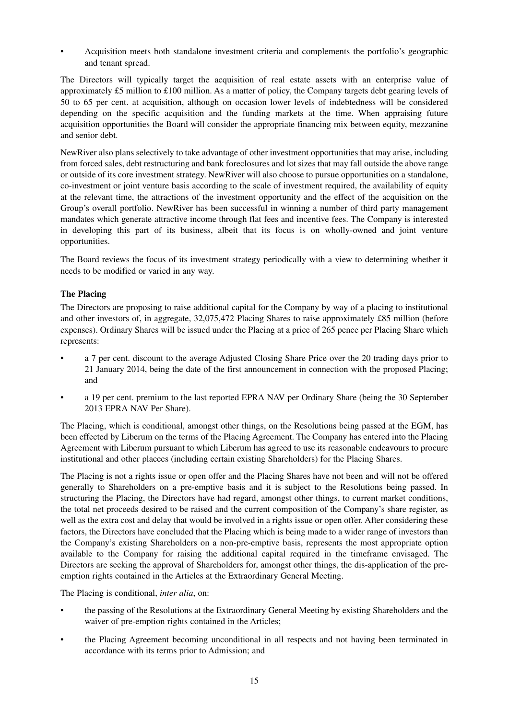• Acquisition meets both standalone investment criteria and complements the portfolio's geographic and tenant spread.

The Directors will typically target the acquisition of real estate assets with an enterprise value of approximately £5 million to £100 million. As a matter of policy, the Company targets debt gearing levels of 50 to 65 per cent. at acquisition, although on occasion lower levels of indebtedness will be considered depending on the specific acquisition and the funding markets at the time. When appraising future acquisition opportunities the Board will consider the appropriate financing mix between equity, mezzanine and senior debt.

NewRiver also plans selectively to take advantage of other investment opportunities that may arise, including from forced sales, debt restructuring and bank foreclosures and lot sizes that may fall outside the above range or outside of its core investment strategy. NewRiver will also choose to pursue opportunities on a standalone, co-investment or joint venture basis according to the scale of investment required, the availability of equity at the relevant time, the attractions of the investment opportunity and the effect of the acquisition on the Group's overall portfolio. NewRiver has been successful in winning a number of third party management mandates which generate attractive income through flat fees and incentive fees. The Company is interested in developing this part of its business, albeit that its focus is on wholly-owned and joint venture opportunities.

The Board reviews the focus of its investment strategy periodically with a view to determining whether it needs to be modified or varied in any way.

#### **The Placing**

The Directors are proposing to raise additional capital for the Company by way of a placing to institutional and other investors of, in aggregate, 32,075,472 Placing Shares to raise approximately £85 million (before expenses). Ordinary Shares will be issued under the Placing at a price of 265 pence per Placing Share which represents:

- a 7 per cent. discount to the average Adjusted Closing Share Price over the 20 trading days prior to 21 January 2014, being the date of the first announcement in connection with the proposed Placing; and
- a 19 per cent. premium to the last reported EPRA NAV per Ordinary Share (being the 30 September 2013 EPRA NAV Per Share).

The Placing, which is conditional, amongst other things, on the Resolutions being passed at the EGM, has been effected by Liberum on the terms of the Placing Agreement. The Company has entered into the Placing Agreement with Liberum pursuant to which Liberum has agreed to use its reasonable endeavours to procure institutional and other placees (including certain existing Shareholders) for the Placing Shares.

The Placing is not a rights issue or open offer and the Placing Shares have not been and will not be offered generally to Shareholders on a pre-emptive basis and it is subject to the Resolutions being passed. In structuring the Placing, the Directors have had regard, amongst other things, to current market conditions, the total net proceeds desired to be raised and the current composition of the Company's share register, as well as the extra cost and delay that would be involved in a rights issue or open offer. After considering these factors, the Directors have concluded that the Placing which is being made to a wider range of investors than the Company's existing Shareholders on a non-pre-emptive basis, represents the most appropriate option available to the Company for raising the additional capital required in the timeframe envisaged. The Directors are seeking the approval of Shareholders for, amongst other things, the dis-application of the preemption rights contained in the Articles at the Extraordinary General Meeting.

The Placing is conditional, *inter alia*, on:

- the passing of the Resolutions at the Extraordinary General Meeting by existing Shareholders and the waiver of pre-emption rights contained in the Articles;
- the Placing Agreement becoming unconditional in all respects and not having been terminated in accordance with its terms prior to Admission; and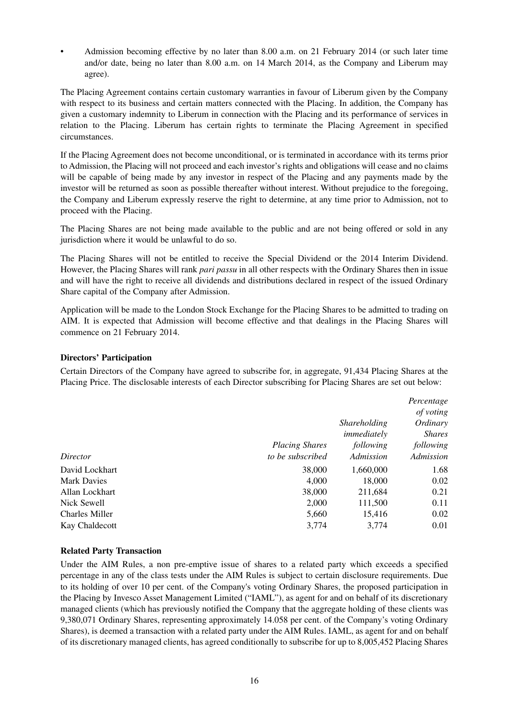• Admission becoming effective by no later than 8.00 a.m. on 21 February 2014 (or such later time and/or date, being no later than 8.00 a.m. on 14 March 2014, as the Company and Liberum may agree).

The Placing Agreement contains certain customary warranties in favour of Liberum given by the Company with respect to its business and certain matters connected with the Placing. In addition, the Company has given a customary indemnity to Liberum in connection with the Placing and its performance of services in relation to the Placing. Liberum has certain rights to terminate the Placing Agreement in specified circumstances.

If the Placing Agreement does not become unconditional, or is terminated in accordance with its terms prior to Admission, the Placing will not proceed and each investor's rights and obligations will cease and no claims will be capable of being made by any investor in respect of the Placing and any payments made by the investor will be returned as soon as possible thereafter without interest. Without prejudice to the foregoing, the Company and Liberum expressly reserve the right to determine, at any time prior to Admission, not to proceed with the Placing.

The Placing Shares are not being made available to the public and are not being offered or sold in any jurisdiction where it would be unlawful to do so.

The Placing Shares will not be entitled to receive the Special Dividend or the 2014 Interim Dividend. However, the Placing Shares will rank *pari passu* in all other respects with the Ordinary Shares then in issue and will have the right to receive all dividends and distributions declared in respect of the issued Ordinary Share capital of the Company after Admission.

Application will be made to the London Stock Exchange for the Placing Shares to be admitted to trading on AIM. It is expected that Admission will become effective and that dealings in the Placing Shares will commence on 21 February 2014.

#### **Directors' Participation**

Certain Directors of the Company have agreed to subscribe for, in aggregate, 91,434 Placing Shares at the Placing Price. The disclosable interests of each Director subscribing for Placing Shares are set out below:

|                       |                       | <i>Shareholding</i><br>immediately | Percentage<br>of voting<br>Ordinary<br><i>Shares</i> |
|-----------------------|-----------------------|------------------------------------|------------------------------------------------------|
|                       | <b>Placing Shares</b> | following                          | following                                            |
| Director              | to be subscribed      | Admission                          | Admission                                            |
| David Lockhart        | 38,000                | 1,660,000                          | 1.68                                                 |
| <b>Mark Davies</b>    | 4,000                 | 18,000                             | 0.02                                                 |
| Allan Lockhart        | 38,000                | 211,684                            | 0.21                                                 |
| Nick Sewell           | 2,000                 | 111,500                            | 0.11                                                 |
| <b>Charles Miller</b> | 5,660                 | 15,416                             | 0.02                                                 |
| Kay Chaldecott        | 3,774                 | 3.774                              | 0.01                                                 |

#### **Related Party Transaction**

Under the AIM Rules, a non pre-emptive issue of shares to a related party which exceeds a specified percentage in any of the class tests under the AIM Rules is subject to certain disclosure requirements. Due to its holding of over 10 per cent. of the Company's voting Ordinary Shares, the proposed participation in the Placing by Invesco Asset Management Limited ("IAML"), as agent for and on behalf of its discretionary managed clients (which has previously notified the Company that the aggregate holding of these clients was 9,380,071 Ordinary Shares, representing approximately 14.058 per cent. of the Company's voting Ordinary Shares), is deemed a transaction with a related party under the AIM Rules. IAML, as agent for and on behalf of its discretionary managed clients, has agreed conditionally to subscribe for up to 8,005,452 Placing Shares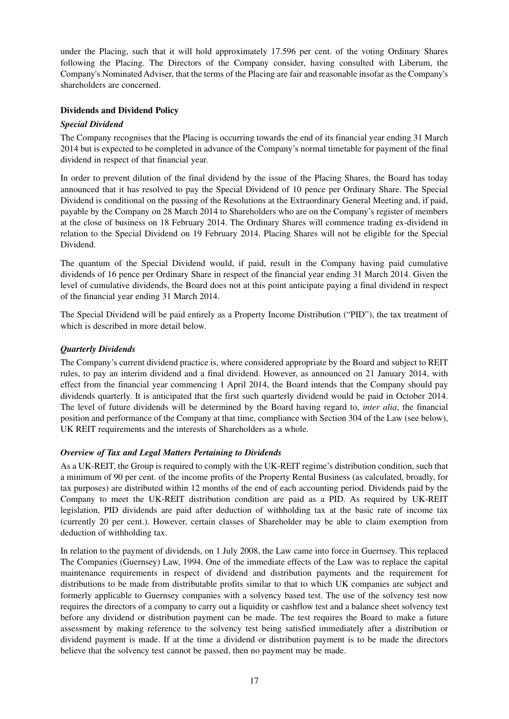under the Placing, such that it will hold approximately 17.596 per cent. of the voting Ordinary Shares following the Placing. The Directors of the Company consider, having consulted with Liberum, the Company's Nominated Adviser, that the terms of the Placing are fair and reasonable insofar as the Company's shareholders are concerned.

#### **Dividends and Dividend Policy**

#### *Special Dividend*

The Company recognises that the Placing is occurring towards the end of its financial year ending 31 March 2014 but is expected to be completed in advance of the Company's normal timetable for payment of the final dividend in respect of that financial year.

In order to prevent dilution of the final dividend by the issue of the Placing Shares, the Board has today announced that it has resolved to pay the Special Dividend of 10 pence per Ordinary Share. The Special Dividend is conditional on the passing of the Resolutions at the Extraordinary General Meeting and, if paid, payable by the Company on 28 March 2014 to Shareholders who are on the Company's register of members at the close of business on 18 February 2014. The Ordinary Shares will commence trading ex-dividend in relation to the Special Dividend on 19 February 2014. Placing Shares will not be eligible for the Special Dividend.

The quantum of the Special Dividend would, if paid, result in the Company having paid cumulative dividends of 16 pence per Ordinary Share in respect of the financial year ending 31 March 2014. Given the level of cumulative dividends, the Board does not at this point anticipate paying a final dividend in respect of the financial year ending 31 March 2014.

The Special Dividend will be paid entirely as a Property Income Distribution ("PID"), the tax treatment of which is described in more detail below.

#### *Quarterly Dividends*

The Company's current dividend practice is, where considered appropriate by the Board and subject to REIT rules, to pay an interim dividend and a final dividend. However, as announced on 21 January 2014, with effect from the financial year commencing 1 April 2014, the Board intends that the Company should pay dividends quarterly. It is anticipated that the first such quarterly dividend would be paid in October 2014. The level of future dividends will be determined by the Board having regard to, *inter alia*, the financial position and performance of the Company at that time, compliance with Section 304 of the Law (see below), UK REIT requirements and the interests of Shareholders as a whole.

#### *Overview of Tax and Legal Matters Pertaining to Dividends*

As a UK-REIT, the Group is required to comply with the UK-REIT regime's distribution condition, such that a minimum of 90 per cent. of the income profits of the Property Rental Business (as calculated, broadly, for tax purposes) are distributed within 12 months of the end of each accounting period. Dividends paid by the Company to meet the UK-REIT distribution condition are paid as a PID. As required by UK-REIT legislation, PID dividends are paid after deduction of withholding tax at the basic rate of income tax (currently 20 per cent.). However, certain classes of Shareholder may be able to claim exemption from deduction of withholding tax.

In relation to the payment of dividends, on 1 July 2008, the Law came into force in Guernsey. This replaced The Companies (Guernsey) Law, 1994. One of the immediate effects of the Law was to replace the capital maintenance requirements in respect of dividend and distribution payments and the requirement for distributions to be made from distributable profits similar to that to which UK companies are subject and formerly applicable to Guernsey companies with a solvency based test. The use of the solvency test now requires the directors of a company to carry out a liquidity or cashflow test and a balance sheet solvency test before any dividend or distribution payment can be made. The test requires the Board to make a future assessment by making reference to the solvency test being satisfied immediately after a distribution or dividend payment is made. If at the time a dividend or distribution payment is to be made the directors believe that the solvency test cannot be passed, then no payment may be made.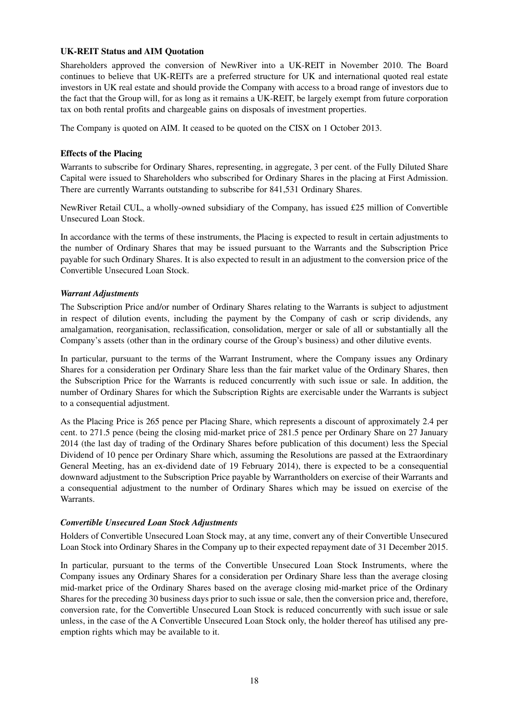#### **UK-REIT Status and AIM Quotation**

Shareholders approved the conversion of NewRiver into a UK-REIT in November 2010. The Board continues to believe that UK-REITs are a preferred structure for UK and international quoted real estate investors in UK real estate and should provide the Company with access to a broad range of investors due to the fact that the Group will, for as long as it remains a UK-REIT, be largely exempt from future corporation tax on both rental profits and chargeable gains on disposals of investment properties.

The Company is quoted on AIM. It ceased to be quoted on the CISX on 1 October 2013.

#### **Effects of the Placing**

Warrants to subscribe for Ordinary Shares, representing, in aggregate, 3 per cent. of the Fully Diluted Share Capital were issued to Shareholders who subscribed for Ordinary Shares in the placing at First Admission. There are currently Warrants outstanding to subscribe for 841,531 Ordinary Shares.

NewRiver Retail CUL, a wholly-owned subsidiary of the Company, has issued £25 million of Convertible Unsecured Loan Stock.

In accordance with the terms of these instruments, the Placing is expected to result in certain adjustments to the number of Ordinary Shares that may be issued pursuant to the Warrants and the Subscription Price payable for such Ordinary Shares. It is also expected to result in an adjustment to the conversion price of the Convertible Unsecured Loan Stock.

#### *Warrant Adjustments*

The Subscription Price and/or number of Ordinary Shares relating to the Warrants is subject to adjustment in respect of dilution events, including the payment by the Company of cash or scrip dividends, any amalgamation, reorganisation, reclassification, consolidation, merger or sale of all or substantially all the Company's assets (other than in the ordinary course of the Group's business) and other dilutive events.

In particular, pursuant to the terms of the Warrant Instrument, where the Company issues any Ordinary Shares for a consideration per Ordinary Share less than the fair market value of the Ordinary Shares, then the Subscription Price for the Warrants is reduced concurrently with such issue or sale. In addition, the number of Ordinary Shares for which the Subscription Rights are exercisable under the Warrants is subject to a consequential adjustment.

As the Placing Price is 265 pence per Placing Share, which represents a discount of approximately 2.4 per cent. to 271.5 pence (being the closing mid-market price of 281.5 pence per Ordinary Share on 27 January 2014 (the last day of trading of the Ordinary Shares before publication of this document) less the Special Dividend of 10 pence per Ordinary Share which, assuming the Resolutions are passed at the Extraordinary General Meeting, has an ex-dividend date of 19 February 2014), there is expected to be a consequential downward adjustment to the Subscription Price payable by Warrantholders on exercise of their Warrants and a consequential adjustment to the number of Ordinary Shares which may be issued on exercise of the Warrants.

#### *Convertible Unsecured Loan Stock Adjustments*

Holders of Convertible Unsecured Loan Stock may, at any time, convert any of their Convertible Unsecured Loan Stock into Ordinary Shares in the Company up to their expected repayment date of 31 December 2015.

In particular, pursuant to the terms of the Convertible Unsecured Loan Stock Instruments, where the Company issues any Ordinary Shares for a consideration per Ordinary Share less than the average closing mid-market price of the Ordinary Shares based on the average closing mid-market price of the Ordinary Shares for the preceding 30 business days prior to such issue or sale, then the conversion price and, therefore, conversion rate, for the Convertible Unsecured Loan Stock is reduced concurrently with such issue or sale unless, in the case of the A Convertible Unsecured Loan Stock only, the holder thereof has utilised any preemption rights which may be available to it.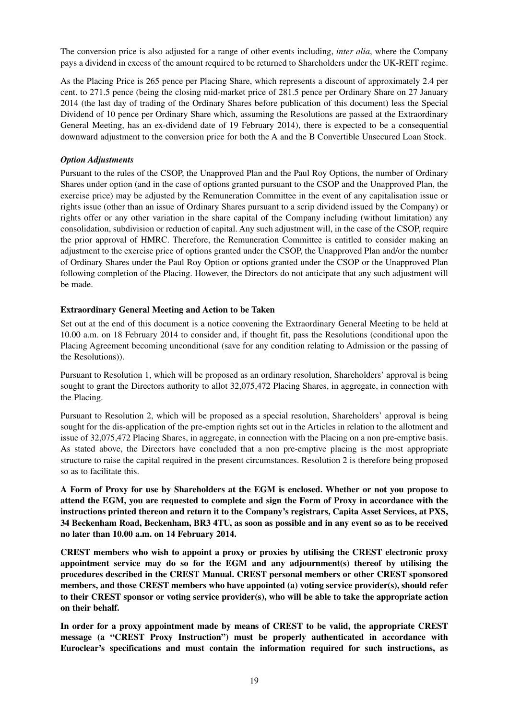The conversion price is also adjusted for a range of other events including, *inter alia*, where the Company pays a dividend in excess of the amount required to be returned to Shareholders under the UK-REIT regime.

As the Placing Price is 265 pence per Placing Share, which represents a discount of approximately 2.4 per cent. to 271.5 pence (being the closing mid-market price of 281.5 pence per Ordinary Share on 27 January 2014 (the last day of trading of the Ordinary Shares before publication of this document) less the Special Dividend of 10 pence per Ordinary Share which, assuming the Resolutions are passed at the Extraordinary General Meeting, has an ex-dividend date of 19 February 2014), there is expected to be a consequential downward adjustment to the conversion price for both the A and the B Convertible Unsecured Loan Stock.

#### *Option Adjustments*

Pursuant to the rules of the CSOP, the Unapproved Plan and the Paul Roy Options, the number of Ordinary Shares under option (and in the case of options granted pursuant to the CSOP and the Unapproved Plan, the exercise price) may be adjusted by the Remuneration Committee in the event of any capitalisation issue or rights issue (other than an issue of Ordinary Shares pursuant to a scrip dividend issued by the Company) or rights offer or any other variation in the share capital of the Company including (without limitation) any consolidation, subdivision or reduction of capital. Any such adjustment will, in the case of the CSOP, require the prior approval of HMRC. Therefore, the Remuneration Committee is entitled to consider making an adjustment to the exercise price of options granted under the CSOP, the Unapproved Plan and/or the number of Ordinary Shares under the Paul Roy Option or options granted under the CSOP or the Unapproved Plan following completion of the Placing. However, the Directors do not anticipate that any such adjustment will be made.

#### **Extraordinary General Meeting and Action to be Taken**

Set out at the end of this document is a notice convening the Extraordinary General Meeting to be held at 10.00 a.m. on 18 February 2014 to consider and, if thought fit, pass the Resolutions (conditional upon the Placing Agreement becoming unconditional (save for any condition relating to Admission or the passing of the Resolutions)).

Pursuant to Resolution 1, which will be proposed as an ordinary resolution, Shareholders' approval is being sought to grant the Directors authority to allot 32,075,472 Placing Shares, in aggregate, in connection with the Placing.

Pursuant to Resolution 2, which will be proposed as a special resolution, Shareholders' approval is being sought for the dis-application of the pre-emption rights set out in the Articles in relation to the allotment and issue of 32,075,472 Placing Shares, in aggregate, in connection with the Placing on a non pre-emptive basis. As stated above, the Directors have concluded that a non pre-emptive placing is the most appropriate structure to raise the capital required in the present circumstances. Resolution 2 is therefore being proposed so as to facilitate this.

**A Form of Proxy for use by Shareholders at the EGM is enclosed. Whether or not you propose to attend the EGM, you are requested to complete and sign the Form of Proxy in accordance with the instructions printed thereon and return it to the Company's registrars, Capita Asset Services, at PXS, 34 Beckenham Road, Beckenham, BR3 4TU, as soon as possible and in any event so as to be received no later than 10.00 a.m. on 14 February 2014.**

**CREST members who wish to appoint a proxy or proxies by utilising the CREST electronic proxy appointment service may do so for the EGM and any adjournment(s) thereof by utilising the procedures described in the CREST Manual. CREST personal members or other CREST sponsored members, and those CREST members who have appointed (a) voting service provider(s), should refer to their CREST sponsor or voting service provider(s), who will be able to take the appropriate action on their behalf.**

**In order for a proxy appointment made by means of CREST to be valid, the appropriate CREST message (a "CREST Proxy Instruction") must be properly authenticated in accordance with Euroclear's specifications and must contain the information required for such instructions, as**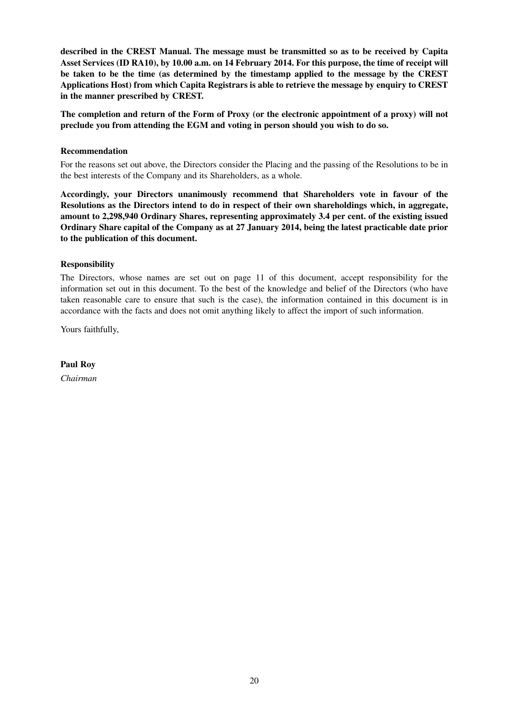**described in the CREST Manual. The message must be transmitted so as to be received by Capita Asset Services (ID RA10), by 10.00 a.m. on 14 February 2014. For this purpose, the time of receipt will be taken to be the time (as determined by the timestamp applied to the message by the CREST Applications Host) from which Capita Registrars is able to retrieve the message by enquiry to CREST in the manner prescribed by CREST.**

**The completion and return of the Form of Proxy (or the electronic appointment of a proxy) will not preclude you from attending the EGM and voting in person should you wish to do so.**

#### **Recommendation**

For the reasons set out above, the Directors consider the Placing and the passing of the Resolutions to be in the best interests of the Company and its Shareholders, as a whole.

**Accordingly, your Directors unanimously recommend that Shareholders vote in favour of the Resolutions as the Directors intend to do in respect of their own shareholdings which, in aggregate, amount to 2,298,940 Ordinary Shares, representing approximately 3.4 per cent. of the existing issued Ordinary Share capital of the Company as at 27 January 2014, being the latest practicable date prior to the publication of this document.**

#### **Responsibility**

The Directors, whose names are set out on page 11 of this document, accept responsibility for the information set out in this document. To the best of the knowledge and belief of the Directors (who have taken reasonable care to ensure that such is the case), the information contained in this document is in accordance with the facts and does not omit anything likely to affect the import of such information.

Yours faithfully,

**Paul Roy**

*Chairman*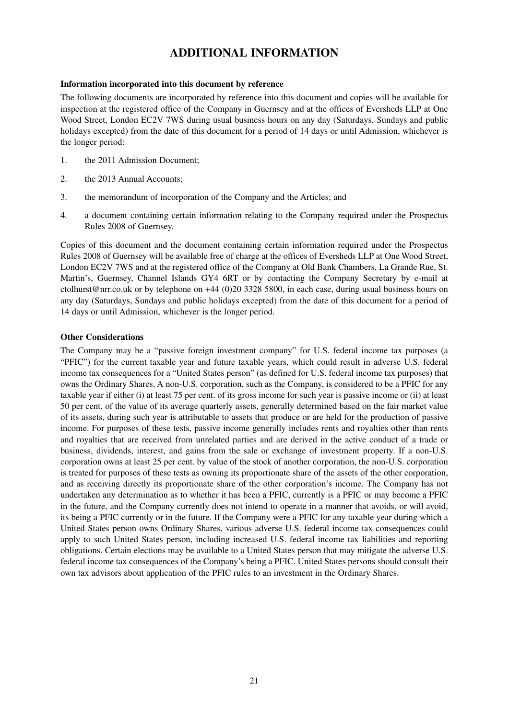## **ADDITIONAL INFORMATION**

#### **Information incorporated into this document by reference**

The following documents are incorporated by reference into this document and copies will be available for inspection at the registered office of the Company in Guernsey and at the offices of Eversheds LLP at One Wood Street, London EC2V 7WS during usual business hours on any day (Saturdays, Sundays and public holidays excepted) from the date of this document for a period of 14 days or until Admission, whichever is the longer period:

- 1. the 2011 Admission Document;
- 2. the 2013 Annual Accounts;
- 3. the memorandum of incorporation of the Company and the Articles; and
- 4.a document containing certain information relating to the Company required under the Prospectus Rules 2008 of Guernsey.

Copies of this document and the document containing certain information required under the Prospectus Rules 2008 of Guernsey will be available free of charge at the offices of Eversheds LLP at One Wood Street, London EC2V 7WS and at the registered office of the Company at Old Bank Chambers, La Grande Rue, St. Martin's, Guernsey, Channel Islands GY4 6RT or by contacting the Company Secretary by e-mail at ctolhurst@nrr.co.uk or by telephone on +44 (0)20 3328 5800, in each case, during usual business hours on any day (Saturdays, Sundays and public holidays excepted) from the date of this document for a period of 14 days or until Admission, whichever is the longer period.

#### **Other Considerations**

The Company may be a "passive foreign investment company" for U.S. federal income tax purposes (a "PFIC") for the current taxable year and future taxable years, which could result in adverse U.S. federal income tax consequences for a "United States person" (as defined for U.S. federal income tax purposes) that owns the Ordinary Shares. A non-U.S. corporation, such as the Company, is considered to be a PFIC for any taxable year if either (i) at least 75 per cent. of its gross income for such year is passive income or (ii) at least 50 per cent. of the value of its average quarterly assets, generally determined based on the fair market value of its assets, during such year is attributable to assets that produce or are held for the production of passive income. For purposes of these tests, passive income generally includes rents and royalties other than rents and royalties that are received from unrelated parties and are derived in the active conduct of a trade or business, dividends, interest, and gains from the sale or exchange of investment property. If a non-U.S. corporation owns at least 25 per cent. by value of the stock of another corporation, the non-U.S. corporation is treated for purposes of these tests as owning its proportionate share of the assets of the other corporation, and as receiving directly its proportionate share of the other corporation's income. The Company has not undertaken any determination as to whether it has been a PFIC, currently is a PFIC or may become a PFIC in the future, and the Company currently does not intend to operate in a manner that avoids, or will avoid, its being a PFIC currently or in the future. If the Company were a PFIC for any taxable year during which a United States person owns Ordinary Shares, various adverse U.S. federal income tax consequences could apply to such United States person, including increased U.S. federal income tax liabilities and reporting obligations. Certain elections may be available to a United States person that may mitigate the adverse U.S. federal income tax consequences of the Company's being a PFIC. United States persons should consult their own tax advisors about application of the PFIC rules to an investment in the Ordinary Shares.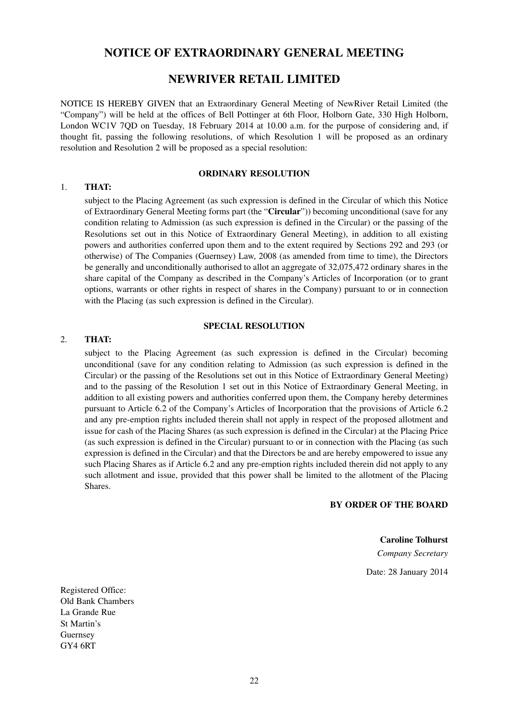### **NOTICE OF EXTRAORDINARY GENERAL MEETING**

#### **NEWRIVER RETAIL LIMITED**

NOTICE IS HEREBY GIVEN that an Extraordinary General Meeting of NewRiver Retail Limited (the "Company") will be held at the offices of Bell Pottinger at 6th Floor, Holborn Gate, 330 High Holborn, London WC1V 7QD on Tuesday, 18 February 2014 at 10.00 a.m. for the purpose of considering and, if thought fit, passing the following resolutions, of which Resolution 1 will be proposed as an ordinary resolution and Resolution 2 will be proposed as a special resolution:

#### **ORDINARY RESOLUTION**

#### 1. **THAT:**

subject to the Placing Agreement (as such expression is defined in the Circular of which this Notice of Extraordinary General Meeting forms part (the "**Circular**")) becoming unconditional (save for any condition relating to Admission (as such expression is defined in the Circular) or the passing of the Resolutions set out in this Notice of Extraordinary General Meeting), in addition to all existing powers and authorities conferred upon them and to the extent required by Sections 292 and 293 (or otherwise) of The Companies (Guernsey) Law, 2008 (as amended from time to time), the Directors be generally and unconditionally authorised to allot an aggregate of 32,075,472 ordinary shares in the share capital of the Company as described in the Company's Articles of Incorporation (or to grant options, warrants or other rights in respect of shares in the Company) pursuant to or in connection with the Placing (as such expression is defined in the Circular).

#### **SPECIAL RESOLUTION**

#### 2. **THAT:**

subject to the Placing Agreement (as such expression is defined in the Circular) becoming unconditional (save for any condition relating to Admission (as such expression is defined in the Circular) or the passing of the Resolutions set out in this Notice of Extraordinary General Meeting) and to the passing of the Resolution 1 set out in this Notice of Extraordinary General Meeting, in addition to all existing powers and authorities conferred upon them, the Company hereby determines pursuant to Article 6.2 of the Company's Articles of Incorporation that the provisions of Article 6.2 and any pre-emption rights included therein shall not apply in respect of the proposed allotment and issue for cash of the Placing Shares (as such expression is defined in the Circular) at the Placing Price (as such expression is defined in the Circular) pursuant to or in connection with the Placing (as such expression is defined in the Circular) and that the Directors be and are hereby empowered to issue any such Placing Shares as if Article 6.2 and any pre-emption rights included therein did not apply to any such allotment and issue, provided that this power shall be limited to the allotment of the Placing Shares.

**BY ORDER OF THE BOARD**

**Caroline Tolhurst** *Company Secretary* Date: 28 January 2014

Registered Office: Old Bank Chambers La Grande Rue St Martin's Guernsey GY4 6RT